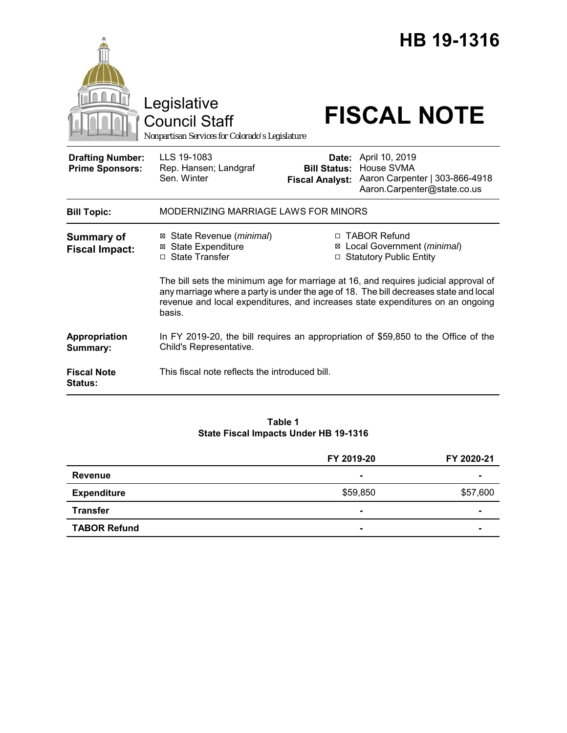|                                                   | Legislative<br><b>Council Staff</b><br>Nonpartisan Services for Colorado's Legislature                                                                                                                                                                                   |                                                                             | HB 19-1316<br><b>FISCAL NOTE</b>                                                                           |  |
|---------------------------------------------------|--------------------------------------------------------------------------------------------------------------------------------------------------------------------------------------------------------------------------------------------------------------------------|-----------------------------------------------------------------------------|------------------------------------------------------------------------------------------------------------|--|
| <b>Drafting Number:</b><br><b>Prime Sponsors:</b> | LLS 19-1083<br>Rep. Hansen; Landgraf<br>Sen. Winter                                                                                                                                                                                                                      | <b>Bill Status:</b><br><b>Fiscal Analyst:</b>                               | <b>Date:</b> April 10, 2019<br>House SVMA<br>Aaron Carpenter   303-866-4918<br>Aaron.Carpenter@state.co.us |  |
| <b>Bill Topic:</b>                                | MODERNIZING MARRIAGE LAWS FOR MINORS                                                                                                                                                                                                                                     |                                                                             |                                                                                                            |  |
| <b>Summary of</b><br><b>Fiscal Impact:</b>        | ⊠ State Revenue ( <i>minimal</i> )<br><b>⊠</b> State Expenditure<br>□ State Transfer                                                                                                                                                                                     | □ TABOR Refund<br>⊠ Local Government (minimal)<br>□ Statutory Public Entity |                                                                                                            |  |
|                                                   | The bill sets the minimum age for marriage at 16, and requires judicial approval of<br>any marriage where a party is under the age of 18. The bill decreases state and local<br>revenue and local expenditures, and increases state expenditures on an ongoing<br>basis. |                                                                             |                                                                                                            |  |
| Appropriation<br>Summary:                         | In FY 2019-20, the bill requires an appropriation of \$59,850 to the Office of the<br>Child's Representative.                                                                                                                                                            |                                                                             |                                                                                                            |  |
| <b>Fiscal Note</b><br><b>Status:</b>              | This fiscal note reflects the introduced bill.                                                                                                                                                                                                                           |                                                                             |                                                                                                            |  |

#### **Table 1 State Fiscal Impacts Under HB 19-1316**

|                     | FY 2019-20     | FY 2020-21 |
|---------------------|----------------|------------|
| Revenue             | $\blacksquare$ |            |
| <b>Expenditure</b>  | \$59,850       | \$57,600   |
| <b>Transfer</b>     | $\blacksquare$ |            |
| <b>TABOR Refund</b> | $\blacksquare$ |            |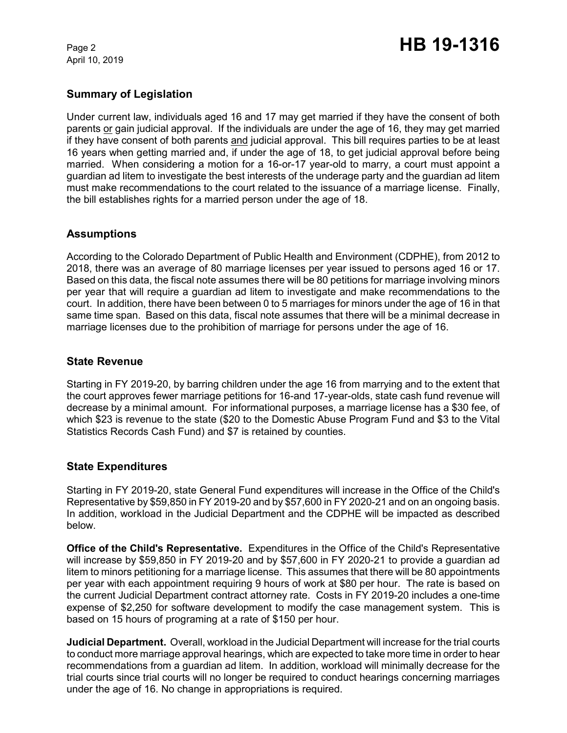April 10, 2019

# **Summary of Legislation**

Under current law, individuals aged 16 and 17 may get married if they have the consent of both parents or gain judicial approval. If the individuals are under the age of 16, they may get married if they have consent of both parents and judicial approval. This bill requires parties to be at least 16 years when getting married and, if under the age of 18, to get judicial approval before being married. When considering a motion for a 16-or-17 year-old to marry, a court must appoint a guardian ad litem to investigate the best interests of the underage party and the guardian ad litem must make recommendations to the court related to the issuance of a marriage license. Finally, the bill establishes rights for a married person under the age of 18.

## **Assumptions**

According to the Colorado Department of Public Health and Environment (CDPHE), from 2012 to 2018, there was an average of 80 marriage licenses per year issued to persons aged 16 or 17. Based on this data, the fiscal note assumes there will be 80 petitions for marriage involving minors per year that will require a guardian ad litem to investigate and make recommendations to the court. In addition, there have been between 0 to 5 marriages for minors under the age of 16 in that same time span. Based on this data, fiscal note assumes that there will be a minimal decrease in marriage licenses due to the prohibition of marriage for persons under the age of 16.

## **State Revenue**

Starting in FY 2019-20, by barring children under the age 16 from marrying and to the extent that the court approves fewer marriage petitions for 16-and 17-year-olds, state cash fund revenue will decrease by a minimal amount. For informational purposes, a marriage license has a \$30 fee, of which \$23 is revenue to the state (\$20 to the Domestic Abuse Program Fund and \$3 to the Vital Statistics Records Cash Fund) and \$7 is retained by counties.

## **State Expenditures**

Starting in FY 2019-20, state General Fund expenditures will increase in the Office of the Child's Representative by \$59,850 in FY 2019-20 and by \$57,600 in FY 2020-21 and on an ongoing basis. In addition, workload in the Judicial Department and the CDPHE will be impacted as described below.

**Office of the Child's Representative.** Expenditures in the Office of the Child's Representative will increase by \$59,850 in FY 2019-20 and by \$57,600 in FY 2020-21 to provide a guardian ad litem to minors petitioning for a marriage license. This assumes that there will be 80 appointments per year with each appointment requiring 9 hours of work at \$80 per hour. The rate is based on the current Judicial Department contract attorney rate. Costs in FY 2019-20 includes a one-time expense of \$2,250 for software development to modify the case management system. This is based on 15 hours of programing at a rate of \$150 per hour.

**Judicial Department.** Overall, workload in the Judicial Department will increase for the trial courts to conduct more marriage approval hearings, which are expected to take more time in order to hear recommendations from a guardian ad litem. In addition, workload will minimally decrease for the trial courts since trial courts will no longer be required to conduct hearings concerning marriages under the age of 16. No change in appropriations is required.